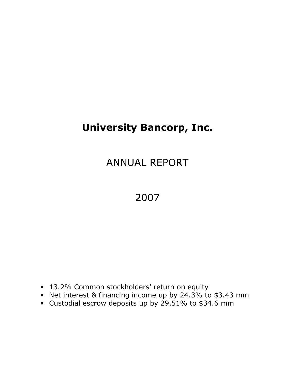# University Bancorp, Inc.

# ANNUAL REPORT

# 2007

- 13.2% Common stockholders' return on equity
- Net interest & financing income up by 24.3% to \$3.43 mm
- Custodial escrow deposits up by 29.51% to \$34.6 mm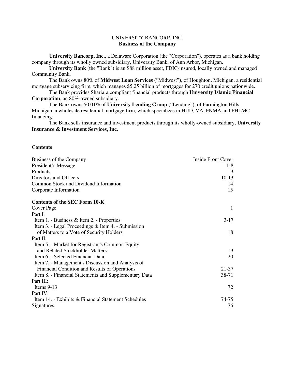## UNIVERSITY BANCORP, INC. **Business of the Company**

**University Bancorp, Inc.**, a Delaware Corporation (the "Corporation"), operates as a bank holding company through its wholly owned subsidiary, University Bank, of Ann Arbor, Michigan.

**University Bank** (the "Bank") is an \$88 million asset, FDIC-insured, locally owned and managed Community Bank.

 The Bank owns 80% of **Midwest Loan Services** ("Midwest"), of Houghton, Michigan, a residential mortgage subservicing firm, which manages \$5.25 billion of mortgages for 270 credit unions nationwide.

 The Bank provides Sharia'a compliant financial products through **University Islamic Financial Corporation**, an 80%-owned subsidiary.

 The Bank owns 50.01% of **University Lending Group** ("Lending"), of Farmington Hills, Michigan, a wholesale residential mortgage firm, which specializes in HUD, VA, FNMA and FHLMC financing.

 The Bank sells insurance and investment products through its wholly-owned subsidiary, **University Insurance & Investment Services, Inc.** 

#### **Contents**

| Business of the Company                               | Inside Front Cover |
|-------------------------------------------------------|--------------------|
| President's Message                                   | $1-8$              |
| Products                                              | 9                  |
| Directors and Officers                                | $10-13$            |
| Common Stock and Dividend Information                 | 14                 |
| Corporate Information                                 | 15                 |
| <b>Contents of the SEC Form 10-K</b>                  |                    |
| Cover Page                                            | -1                 |
| Part I:                                               |                    |
| Item 1. - Business & Item 2. - Properties             | $3-17$             |
| Item 3. - Legal Proceedings & Item 4. - Submission    |                    |
| of Matters to a Vote of Security Holders              | 18                 |
| Part $\Pi$ :                                          |                    |
| Item 5. - Market for Registrant's Common Equity       |                    |
| and Related Stockholder Matters                       | 19                 |
| Item 6. - Selected Financial Data                     | 20                 |
| Item 7. - Management's Discussion and Analysis of     |                    |
| Financial Condition and Results of Operations         | 21-37              |
| Item 8. - Financial Statements and Supplementary Data | 38-71              |
| Part III:                                             |                    |
| Items $9-13$                                          | 72                 |
| Part IV:                                              |                    |
| Item 14. - Exhibits & Financial Statement Schedules   | 74-75              |
| Signatures                                            | 76                 |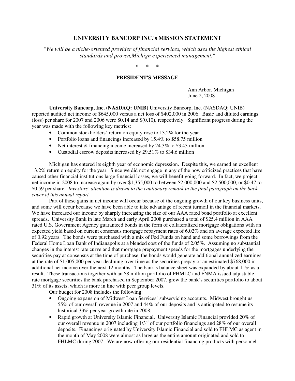## **UNIVERSITY BANCORP INC.'s MISSION STATEMENT**

*"We will be a niche-oriented provider of financial services, which uses the highest ethical standards and proven,Michign experienced management."* 

\* \* \*

#### **PRESIDENT'S MESSAGE**

Ann Arbor, Michigan June 2, 2008

**University Bancorp, Inc. (NASDAQ: UNIB)** University Bancorp, Inc. (NASDAQ: UNIB) reported audited net income of \$645,000 versus a net loss of \$402,000 in 2006. Basic and diluted earnings (loss) per share for 2007 and 2006 were \$0.14 and \$(0.10), respectively. Significant progress during the year was made with the following key metrics:

- Common stockholders' return on equity rose to 13.2% for the year
- Portfolio loans and financings increased by 15.4% to \$58.75 million
- Net interest & financing income increased by 24.3% to \$3.43 million
- Custodial escrow deposits increased by 29.51% to \$34.6 million

Michigan has entered its eighth year of economic depression. Despite this, we earned an excellent 13.2% return on equity for the year. Since we did not engage in any of the now criticized practices that have caused other financial institutions large financial losses, we will benefit going forward. In fact, we project net income in 2008 to increase again by over \$1,355,000 to between \$2,000,000 and \$2,500,000, or \$0.47 to \$0.59 per share. *Investors' attention is drawn to the cautionary remark in the final paragraph on the back cover of this annual report.*

Part of these gains in net income will occur because of the ongoing growth of our key business units, and some will occur because we have been able to take advantage of recent turmoil in the financial markets. We have increased our income by sharply increasing the size of our AAA rated bond portfolio at excellent spreads. University Bank in late March and early April 2008 purchased a total of \$25.4 million in AAA rated U.S. Government Agency guaranteed bonds in the form of collateralized mortgage obligations with an expected yield based on current consensus mortgage repayment rates of 6.02% and an average expected life of 0.92 years. The bonds were purchased with a mix of Fed Funds on hand and some borrowings from the Federal Home Loan Bank of Indianapolis at a blended cost of the funds of 2.05%. Assuming no substantial changes in the interest rate curve and that mortgage prepayment speeds for the mortgages underlying the securities pay at consensus at the time of purchase, the bonds would generate additional annualized earnings at the rate of \$1,005,000 per year declining over time as the securities prepay or an estimated \$768,000 in additional net income over the next 12 months. The bank's balance sheet was expanded by about 11% as a result. These transactions together with an \$8 million portfolio of FHMLC and FNMA issued adjustable rate mortgage securities the bank purchased in September 2007, grew the bank's securities portfolio to about 31% of its assets, which is more in line with peer group levels.

Our budget for 2008 includes the following:

- Ongoing expansion of Midwest Loan Services' subservicing accounts. Midwest brought us 55% of our overall revenue in 2007 and 44% of our deposits and is anticipated to resume its historical 33% per year growth rate in 2008;
- Rapid growth at University Islamic Financial. University Islamic Financial provided 20% of our overall revenue in 2007 including  $1/3^{rd}$  of our portfolio financings and  $28\%$  of our overall deposits. Financings originated by University Islamic Financial and sold to FHLMC as agent in the month of May 2008 were almost as large as the entire amount originated and sold to FHLMC during 2007. We are now offering our residential financing products with personnel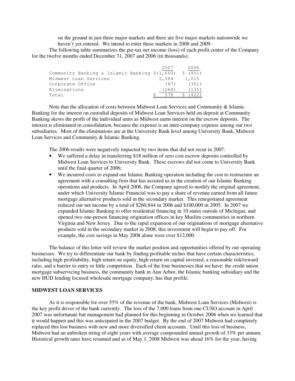on the ground in just three major markets and there are five major markets nationwide we haven't yet entered. We intend to enter these markets in 2008 and 2009.

The following table summarizes the pre-tax net income (loss) of each profit center of the Company for the twelve months ended December 31, 2007 and 2006 (in thousands):

|                                                | 2007  | 2006     |
|------------------------------------------------|-------|----------|
| Community Banking & Islamic Banking $$(1,650)$ |       | \$ (951) |
| Midwest Loan Services                          | 2,584 | 1,015    |
| Corporate Office                               | (87)  | (351)    |
| Eliminations                                   | (268) | (135)    |
| Total                                          |       |          |

Note that the allocation of costs between Midwest Loan Services and Community & Islamic Banking for the interest on custodial deposits of Midwest Loan Services held on deposit at Community Banking skews the profit of the individual units as Midwest earns interest on the escrow deposits. The interest is eliminated in consolidation, because the expense is an inter-company expense among our two subsidiaries. Most of the eliminations are at the University Bank level among University Bank, Midwest Loan Services and Community & Islamic Banking.

The 2006 results were negatively impacted by two items that did not recur in 2007:

- We suffered a delay in transferring \$18 million of zero cost escrow deposits controlled by Midwest Loan Services to University Bank. These escrows did not come to University Bank until the final quarter of 2006;
- We incurred costs to expand our Islamic Banking operation including the cost to restructure an agreement with a consulting firm that has assisted us in the creation of our Islamic Banking operations and products. In April 2006, the Company agreed to modify the original agreement, under which University Islamic Financial was to pay a share of revenue earned from all future mortgage alternative products sold in the secondary market. This renegotiated agreement reduced our net income by a total of \$260,844 in 2006 and \$100,000 in 2005. In 2007 we expanded Islamic Banking to offer residential financing in 10 states outside of Michigan, and opened two one-person financing origination offices in key Muslim communities in northern Virginia and New Jersey. Due to the rapid expansion of our originations of mortgage alternative products sold in the secondary market in 2008, this investment will begin to pay off. For example, the cost savings in May 2008 alone were over \$12,000.

The balance of this letter will review the market position and opportunities offered by our operating businesses. We try to differentiate our bank by finding profitable niches that have certain characteristics, including high profitability, high return on equity, high return on capital invested, a reasonable risk/reward ratio, and a barrier to entry or little competition. Each of the four businesses that we have: the credit union mortgage subservicing business, the community bank in Ann Arbor, the Islamic banking subsidiary and the new HUD lending focused wholesale mortgage company, has that profile.

#### **MIDWEST LOAN SERVICES**

As it is responsible for over 55% of the revenue of the bank, Midwest Loan Services (Midwest) is the key profit driver of the bank currently. The loss of the 7,000 loans from one CUSO account in April 2007 was unfortunate but management had planned for this beginning in October 2006 when we learned that it would happen and this was anticipated in the 2007 budget. By the end of 2007 Midwest had completely replaced this lost business with new and more diversified client accounts. Until this loss of business, Midwest had an unbroken string of eight years with average compounded annual growth of 33% per annum. Historical growth rates have resumed and as of May 1, 2008 Midwest was ahead 16% for the year, having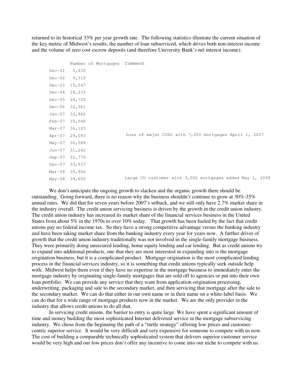returned to its historical 33% per year growth rate. The following statistics illustrate the current situation of the key metric of Midwest's results, the number of loan subserviced, which drives both non-interest income and the volume of zero cost escrow deposits (and therefore University Bank's net interest income):

|          | Number of Mortgages Comment |                                                          |
|----------|-----------------------------|----------------------------------------------------------|
| $Dec-01$ | 5,830                       |                                                          |
| $Dec-02$ | 9,319                       |                                                          |
| $Dec-03$ | 15,047                      |                                                          |
| $Dec-04$ | 18,233                      |                                                          |
| $Dec-05$ | 24,720                      |                                                          |
| $Dec-06$ | 32,561                      |                                                          |
| Jan-07   | 32,866                      |                                                          |
| Feb-07   | 35,048                      |                                                          |
| Mar-07   | 36, 125                     |                                                          |
| Apr-07   | 29,093                      | Loss of major CUSO with 7,000 mortgages April 1, 2007    |
| May-07   | 30,589                      |                                                          |
| Jun-07   | 31,242                      |                                                          |
| $Sep-07$ | 32,770                      |                                                          |
| $Dec-07$ | 33,937                      |                                                          |
| Mar-08   | 35,906                      |                                                          |
| May-08   | 39,600                      | Large CU customer with 3,000 mortgages added May 1, 2008 |

We don't anticipate the ongoing growth to slacken and the organic growth there should be outstanding. Going forward, there is no reason why the business shouldn't continue to grow at 30%-35% annual rates. We did that for seven years before 2007's setback, and we still only have 2.7% market share in the industry overall. The credit union servicing business is driven by the growth in the credit union industry. The credit union industry has increased its market share of the financial services business in the United States from about 5% in the 1970s to over 10% today. That growth has been fueled by the fact that credit unions pay no federal income tax. So they have a strong competitive advantage versus the banking industry and have been taking market share from the banking industry every year for years now. A further driver of growth that the credit union industry traditionally was not involved in the single-family mortgage business. They were primarily doing unsecured lending, home equity lending and car lending. But as credit unions try to expand into additional products, one that they are most interested in expanding into is the mortgage origination business, but it is a complicated product. Mortgage origination is the most complicated lending process in the financial services industry, so it is something that credit unions typically seek outside help with. Midwest helps them even if they have no expertise in the mortgage business to immediately enter the mortgage industry by originating single-family mortgages that are sold off to agencies or put into their own loan portfolio. We can provide any service that they want from application origination processing, underwriting, packaging and sale to the secondary market, and then servicing that mortgage after the sale to the secondary market. We can do that either in our own name or in their name on a white-label basis. We can do that for a wide range of mortgage products now in the market. We are the only provider in the industry that allows credit unions to do all that.

In servicing credit unions, the barrier to entry is quite large. We have spent a significant amount of time and money building the most sophisticated Internet delivered service in the mortgage subservicing industry. We chose from the beginning the path of a "turtle strategy" offering low prices and customercentric superior service. It would be very difficult and very expensive for someone to compete with us now. The cost of building a comparable technically sophisticated system that delivers superior customer service would be very high and our low prices don't offer any incentive to come into our niche to compete with us.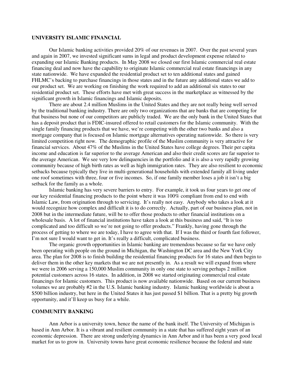#### **UNIVERSITY ISLAMIC FINANCIAL**

Our Islamic banking activities provided 20% of our revenues in 2007. Over the past several years and again in 2007, we invested significant sums in legal and product development expense related to expanding our Islamic Banking products. In May 2008 we closed our first Islamic commercial real estate financing deal and now have the capability to originate Islamic commercial real estate financings in any state nationwide. We have expanded the residential product set to ten additional states and gained FHLMC's backing to purchase financings in those states and in the future any additional states we add to our product set. We are working on finishing the work required to add an additional six states to our residential product set. These efforts have met with great success in the marketplace as witnessed by the significant growth in Islamic financings and Islamic deposits.

There are about 2.4 million Muslims in the United States and they are not really being well served by the traditional banking industry. There are only two organizations that are banks that are competing for that business but none of our competitors are publicly traded. We are the only bank in the United States that has a deposit product that is FDIC-insured offered to retail customers for the Islamic community. With the single family financing products that we have, we're competing with the other two banks and also a mortgage company that is focused on Islamic mortgage alternatives operating nationwide. So there is very limited competition right now. The demographic profile of the Muslim community is very attractive for financial services. About 47% of the Muslims in the United States have college degrees. Their per capita income and education is far superior to the average American and also their credit scores are far superior to the average American. We see very low delinquencies in the portfolio and it is also a very rapidly growing community because of high birth rates as well as high immigration rates. They are also resilient to economic setbacks because typically they live in multi-generational households with extended family all living under one roof sometimes with three, four or five incomes. So, if one family member loses a job it isn't a big setback for the family as a whole.

Islamic banking has very severe barriers to entry. For example, it took us four years to get one of our key residential financing products to the point where it was 100% compliant from end to end with Islamic Law, from origination through to servicing. It's really not easy. Anybody who takes a look at it would recognize how complex and difficult it is to do correctly. Actually, part of our business plan, not in 2008 but in the intermediate future, will be to offer those products to other financial institutions on a wholesale basis. A lot of financial institutions have taken a look at this business and said, "It is too complicated and too difficult so we're not going to offer products." Frankly, having gone through the process of getting to where we are today, I have to agree with that. If I was the third or fourth fast follower, I'm not sure I would want to get in. It's really a difficult, complicated business.

The organic growth opportunities in Islamic banking are tremendous because so far we have only been operating with people on the ground in Michigan, the Washington DC area and the New York City area. The plan for 2008 is to finish building the residential financing products for 16 states and then begin to deliver them in the other key markets that we are not presently in. As a result we will expand from where we were in 2006 serving a 150,000 Muslim community in only one state to serving perhaps 2 million potential customers across 16 states. In addition, in 2008 we started originating commercial real estate financings for Islamic customers. This product is now available nationwide. Based on our current business volumes we are probably #2 in the U.S. Islamic banking industry. Islamic banking worldwide is about a \$500 billion industry, but here in the United States it has just passed \$1 billion. That is a pretty big growth opportunity, and it'll keep us busy for a while.

### **COMMUNITY BANKING**

Ann Arbor is a university town, hence the name of the bank itself. The University of Michigan is based in Ann Arbor. It is a vibrant and resilient community in a state that has suffered eight years of an economic depression. There are strong underlying dynamics in Ann Arbor and it has been a very good local market for us to grow in. University towns have great economic resilience because the federal and state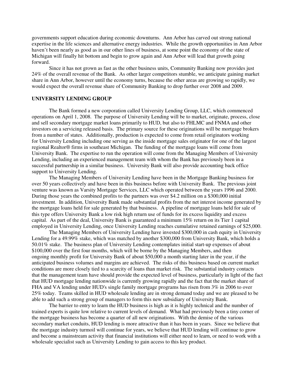governments support education during economic downturns. Ann Arbor has carved out strong national expertise in the life sciences and alternative energy industries. While the growth opportunities in Ann Arbor haven't been nearly as good as in our other lines of business, at some point the economy of the state of Michigan will finally hit bottom and begin to grow again and Ann Arbor will lead that growth going forward.

Since it has not grown as fast as the other business units, Community Banking now provides just 24% of the overall revenue of the Bank. As other larger competitors stumble, we anticipate gaining market share in Ann Arbor, however until the economy turns, because the other areas are growing so rapidly, we would expect the overall revenue share of Community Banking to drop further over 2008 and 2009.

#### **UNIVERSITY LENDING GROUP**

 The Bank formed a new corporation called University Lending Group, LLC, which commenced operations on April 1, 2008. The purpose of University Lending will be to market, originate, process, close and sell secondary mortgage market loans primarily to HUD, but also to FHLMC and FNMA and other investors on a servicing released basis. The primary source for these originations will be mortgage brokers from a number of states. Additionally, production is expected to come from retail originators working for University Lending including one serving as the inside mortgage sales originator for one of the largest regional Realtor® firms in southeast Michigan. The funding of the mortgage loans will come from University Bank. The expertise to run the operation will come from the Managing Members of University Lending, including an experienced management team with whom the Bank has previously been in a successful partnership in a similar business. University Bank will also provide accounting back office support to University Lending.

 The Managing Members of University Lending have been in the Mortgage Banking business for over 50 years collectively and have been in this business before with University Bank. The previous joint venture was known as Varsity Mortgage Services, LLC which operated between the years 1996 and 2000. During those years the combined profits to the partners was over \$4.2 million on a \$300,000 initial investment. In addition, University Bank made substantial profits from the net interest income generated by the mortgage loans held for sale generated by that business. A pipeline of mortgage loans held for sale of this type offers University Bank a low risk high return use of funds for its excess liquidity and excess capital. As part of the deal, University Bank is guaranteed a minimum 15% return on its Tier 1 capital employed in University Lending, once University Lending reaches cumulative retained earnings of \$25,000.

 The Managing Members of University Lending have invested \$300,000 in cash equity in University Lending for a 49.99% stake, which was matched by another \$300,000 from University Bank, which holds a 50.01% stake. The business plan of University Lending contemplates initial start-up expenses of about \$100,000 over the first four months, which will be borne by the Managing Members, and then ongoing monthly profit for University Bank of about \$50,000 a month starting later in the year, if the anticipated business volumes and margins are achieved. The risks of this business based on current market conditions are more closely tied to a scarcity of loans than market risk. The substantial industry contacts that the management team have should provide the expected level of business, particularly in light of the fact that HUD mortgage lending nationwide is currently growing rapidly and the fact that the market share of FHA and VA lending under HUD's single family mortgage programs has risen from 3% in 2006 to over 25% today. Teams skilled in HUD wholesale lending are in strong demand today and we are pleased to be able to add such a strong group of managers to form this new subsidiary of University Bank.

The barrier to entry to learn the HUD business is high as it is highly technical and the number of trained experts is quite low relative to current levels of demand. What had previously been a tiny corner of the mortgage business has become a quarter of all new originations. With the demise of the various secondary market conduits, HUD lending is more attractive than it has been in years. Since we believe that the mortgage industry turmoil will continue for years, we believe that HUD lending will continue to grow and become a mainstream activity that financial institutions will either need to learn, or need to work with a wholesale specialist such as University Lending to gain access to this key product.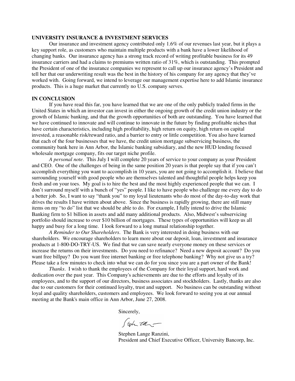#### **UNIVERSITY INSURANCE & INVESTMENT SERVICES**

 Our insurance and investment agency contributed only 1.6% of our revenues last year, but it plays a key support role, as customers who maintain multiple products with a bank have a lower likelihood of changing banks. Our insurance agency has a strong track record of writing profitable business for its 49 insurance carriers and had a claims to premiums written ratio of 31%, which is outstanding. This prompted the President of one of the insurance companies we represent to call up our insurance agency's President and tell her that our underwriting result was the best in the history of his company for any agency that they've worked with. Going forward, we intend to leverage our management expertise here to add Islamic insurance products. This is a huge market that currently no U.S. company serves.

#### **IN CONCLUSION**

If you have read this far, you have learned that we are one of the only publicly traded firms in the United States in which an investor can invest in either the ongoing growth of the credit union industry or the growth of Islamic banking, and that the growth opportunities of both are outstanding. You have learned that we have continued to innovate and will continue to innovate in the future by finding profitable niches that have certain characteristics, including high profitability, high return on equity, high return on capital invested, a reasonable risk/reward ratio, and a barrier to entry or little competition. You also have learned that each of the four businesses that we have, the credit union mortgage subservicing business, the community bank here in Ann Arbor, the Islamic banking subsidiary, and the new HUD lending focused wholesale mortgage company, fits our target niche profile.

*A personal note*. This July I will complete 20 years of service to your company as your President and CEO. One of the challenges of being in the same position 20 years is that people say that if you can't accomplish everything you want to accomplish in 10 years, you are not going to accomplish it. I believe that surrounding yourself with good people who are themselves talented and thoughtful people helps keep you fresh and on your toes. My goal is to hire the best and the most highly experienced people that we can. I don't surround myself with a bunch of "yes" people. I like to have people who challenge me every day to do a better job. So, I want to say "thank you" to my loyal lieutenants who do most of the day-to-day work that drives the results I have written about above. Since the business is rapidly growing, there are still many items on my "to do" list that we should be able to do. For example, I fully intend to drive the Islamic Banking firm to \$1 billion in assets and add many additional products. Also, Midwest's subservicing portfolio should increase to over \$10 billion of mortgages. These types of opportunities will keep us all happy and busy for a long time. I look forward to a long mutual relationship together.

*A Reminder to Our Shareholders*. The Bank is very interested in doing business with our shareholders. We encourage shareholders to learn more about our deposit, loan, investment and insurance products at 1-800-DO-TRY-US. We find that we can save nearly everyone money on these services or increase the returns on their investments. Do you need to refinance? Need a new deposit account? Do you want free billpay? Do you want free internet banking or free telephone banking? Why not give us a try? Please take a few minutes to check into what we can do for you since you are a part owner of the Bank!

*Thanks*. I wish to thank the employees of the Company for their loyal support, hard work and dedication over the past year. This Company's achievements are due to the efforts and loyalty of its employees, and to the support of our directors, business associates and stockholders. Lastly, thanks are also due to our customers for their continued loyalty, trust and support. No business can be outstanding without loyal and quality shareholders, customers and employees. We look forward to seeing you at our annual meeting at the Bank's main office in Ann Arbor, June 27, 2008.

Sincerely,<br> $\int \psi \, d\mu$ 

 Stephen Lange Ranzini, President and Chief Executive Officer, University Bancorp, Inc.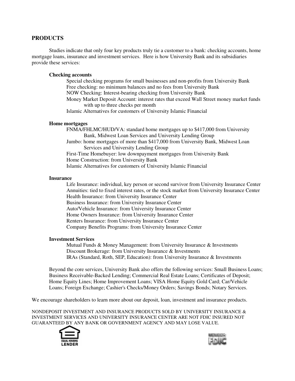## **PRODUCTS**

 Studies indicate that only four key products truly tie a customer to a bank: checking accounts, home mortgage loans, insurance and investment services. Here is how University Bank and its subsidiaries provide these services:

#### **Checking accounts**

Special checking programs for small businesses and non-profits from University Bank Free checking: no minimum balances and no fees from University Bank NOW Checking: Interest-bearing checking from University Bank Money Market Deposit Account: interest rates that exceed Wall Street money market funds with up to three checks per month Islamic Alternatives for customers of University Islamic Financial

#### **Home mortgages**

FNMA/FHLMC/HUD/VA: standard home mortgages up to \$417,000 from University Bank, Midwest Loan Services and University Lending Group Jumbo: home mortgages of more than \$417,000 from University Bank, Midwest Loan Services and University Lending Group First-Time Homebuyer: low downpayment mortgages from University Bank Home Construction: from University Bank Islamic Alternatives for customers of University Islamic Financial

#### **Insurance**

Life Insurance: individual, key person or second survivor from University Insurance Center Annuities: tied to fixed interest rates, or the stock market from University Insurance Center Health Insurance: from University Insurance Center Business Insurance: from University Insurance Center Auto/Vehicle Insurance: from University Insurance Center Home Owners Insurance: from University Insurance Center Renters Insurance: from University Insurance Center Company Benefits Programs: from University Insurance Center

#### **Investment Services**

Mutual Funds & Money Management: from University Insurance & Investments Discount Brokerage: from University Insurance & Investments IRAs (Standard, Roth, SEP, Education): from University Insurance & Investments

Beyond the core services, University Bank also offers the following services: Small Business Loans; Business Receivable-Backed Lending; Commercial Real Estate Loans; Certificates of Deposit; Home Equity Lines; Home Improvement Loans; VISA Home Equity Gold Card; Car/Vehicle Loans; Foreign Exchange; Cashier's Checks/Money Orders; Savings Bonds; Notary Services.

We encourage shareholders to learn more about our deposit, loan, investment and insurance products.

NONDEPOSIT INVESTMENT AND INSURANCE PRODUCTS SOLD BY UNIVERSITY INSURANCE & INVESTMENT SERVICES AND UNIVERSITY INSURANCE CENTER ARE NOT FDIC INSURED NOT GUARANTEED BY ANY BANK OR GOVERNMENT AGENCY AND MAY LOSE VALUE.



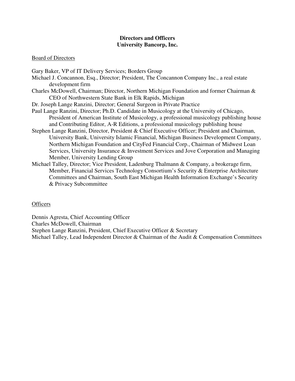## **Directors and Officers University Bancorp, Inc.**

## Board of Directors

Gary Baker, VP of IT Delivery Services; Borders Group Michael J. Concannon, Esq., Director; President, The Concannon Company Inc., a real estate development firm

- Charles McDowell, Chairman; Director, Northern Michigan Foundation and former Chairman & CEO of Northwestern State Bank in Elk Rapids, Michigan
- Dr. Joseph Lange Ranzini, Director; General Surgeon in Private Practice
- Paul Lange Ranzini, Director; Ph.D. Candidate in Musicology at the University of Chicago, President of American Institute of Musicology, a professional musicology publishing house and Contributing Editor, A-R Editions, a professional musicology publishing house
- Stephen Lange Ranzini, Director, President & Chief Executive Officer; President and Chairman, University Bank, University Islamic Financial, Michigan Business Development Company, Northern Michigan Foundation and CityFed Financial Corp., Chairman of Midwest Loan Services, University Insurance & Investment Services and Jove Corporation and Managing Member, University Lending Group
- Michael Talley, Director; Vice President, Ladenburg Thalmann & Company, a brokerage firm, Member, Financial Services Technology Consortium's Security & Enterprise Architecture Committees and Chairman, South East Michigan Health Information Exchange's Security & Privacy Subcommittee

# **Officers**

Dennis Agresta, Chief Accounting Officer Charles McDowell, Chairman Stephen Lange Ranzini, President, Chief Executive Officer & Secretary Michael Talley, Lead Independent Director & Chairman of the Audit & Compensation Committees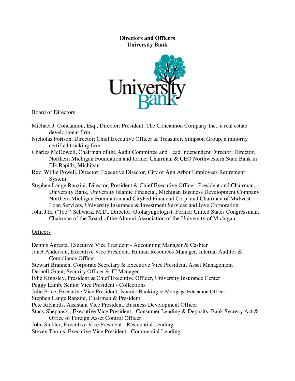# **Directors and Officers University Bank**



## Board of Directors

- Michael J. Concannon, Esq., Director; President, The Concannon Company Inc., a real estate development firm
- Nicholas Fortson, Director; Chief Executive Officer & Treasurer, Simpson Group, a minority certified trucking firm
- Charles McDowell, Chairman of the Audit Committee and Lead Independent Director; Director, Northern Michigan Foundation and former Chairman & CEO Northwestern State Bank in Elk Rapids, Michigan
- Rev. Willie Powell, Director; Executive Director, City of Ann Arbor Employees Retirement System
- Stephen Lange Ranzini, Director, President & Chief Executive Officer; President and Chairman, University Bank, University Islamic Financial, Michigan Business Development Company, Northern Michigan Foundation and CityFed Financial Corp. and Chairman of Midwest Loan Services, University Insurance & Investment Services and Jove Corporation
- John J.H. ("Joe") Schwarz, M.D., Director; Otolaryngologist, Former United States Congressman, Chairman of the Board of the Alumni Association of the University of Michigan

## **Officers**

Dennis Agresta, Executive Vice President - Accounting Manager & Cashier Janet Anderson, Executive Vice President, Human Resources Manager, Internal Auditor & Compliance Officer Stewart Brannen, Corporate Secretary & Executive Vice President, Asset Management Darnell Grant, Security Officer & IT Manager Edie Kingsley, President & Chief Executive Officer, University Insurance Center Peggy Lamb, Senior Vice President - Collections Julie Price, Executive Vice President, Islamic Banking & Mortgage Education Officer Stephen Lange Ranzini, Chairman & President Pete Richards, Assistant Vice President, Business Development Officer Stacy Shepanski, Executive Vice President - Consumer Lending & Deposits, Bank Secrecy Act & Office of Foreign Asset Control Officer John Sickler, Executive Vice President - Residential Lending Steven Thoms, Executive Vice President - Commercial Lending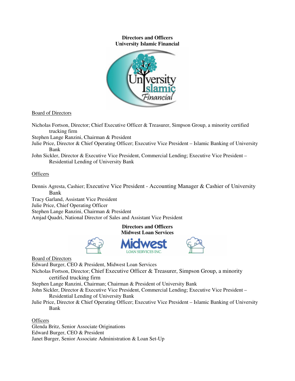### **Directors and Officers University Islamic Financial**



## Board of Directors

Nicholas Fortson, Director; Chief Executive Officer & Treasurer, Simpson Group, a minority certified trucking firm

Stephen Lange Ranzini, Chairman & President

- Julie Price, Director & Chief Operating Officer; Executive Vice President Islamic Banking of University Bank
- John Sickler, Director & Executive Vice President, Commercial Lending; Executive Vice President Residential Lending of University Bank

## **Officers**

Dennis Agresta, Cashier; Executive Vice President - Accounting Manager & Cashier of University Bank

Tracy Garland, Assistant Vice President

Julie Price, Chief Operating Officer

Stephen Lange Ranzini, Chairman & President

Amjad Quadri, National Director of Sales and Assistant Vice President

**Directors and Officers Midwest Loan Services** 

**LOAN SERVICES INC.** 





Board of Directors

Edward Burger, CEO & President, Midwest Loan Services Nicholas Fortson, Director; Chief Executive Officer & Treasurer, Simpson Group, a minority certified trucking firm Stephen Lange Ranzini, Chairman; Chairman & President of University Bank John Sickler, Director & Executive Vice President, Commercial Lending; Executive Vice President –

Residential Lending of University Bank

Julie Price, Director & Chief Operating Officer; Executive Vice President – Islamic Banking of University Bank

**Officers** Glenda Britz, Senior Associate Originations Edward Burger, CEO & President Janet Burger, Senior Associate Administration & Loan Set-Up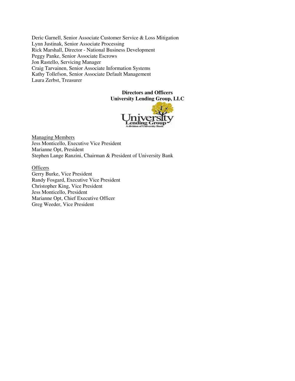Deric Garnell, Senior Associate Customer Service & Loss Mitigation Lynn Justinak, Senior Associate Processing Rick Marshall, Director - National Business Development Peggy Panke, Senior Associate Escrows Jon Rastello, Servicing Manager Craig Tarvainen, Senior Associate Information Systems Kathy Tollefson, Senior Associate Default Management Laura Zerbst, Treasurer

## **Directors and Officers University Lending Group, LLC**



Managing Members Jess Monticello, Executive Vice President Marianne Opt, President Stephen Lange Ranzini, Chairman & President of University Bank

**Officers** Gerry Burke, Vice President Randy Fosgard, Executive Vice President Christopher King, Vice President Jess Monticello, President Marianne Opt, Chief Executive Officer Greg Weeder, Vice President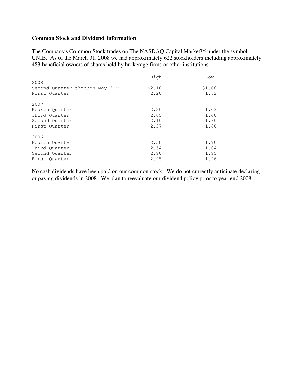# **Common Stock and Dividend Information**

The Company's Common Stock trades on The NASDAQ Capital Market™ under the symbol UNIB. As of the March 31, 2008 we had approximately 622 stockholders including approximately 483 beneficial owners of shares held by brokerage firms or other institutions.

|                                                          | High           | Low            |
|----------------------------------------------------------|----------------|----------------|
| 2008<br>Second Quarter through May 31st<br>First Ouarter | \$2.10<br>2.20 | \$1.66<br>1.72 |
| 2007                                                     |                |                |
| Fourth Quarter                                           | 2.20           | 1.63           |
| Third Ouarter                                            | 2.05           | 1.60           |
| Second Ouarter                                           | 2.10           | 1.80           |
| First Ouarter                                            | 2.37           | 1.80           |
| 2006                                                     |                |                |
| Fourth Ouarter                                           | 2.38           | 1.90           |
| Third Quarter                                            | 2.54           | 1.04           |
| Second Ouarter                                           | 2.90           | 1.95           |
| First Ouarter                                            | 2.95           | 1.76           |

No cash dividends have been paid on our common stock. We do not currently anticipate declaring or paying dividends in 2008. We plan to reevaluate our dividend policy prior to year-end 2008.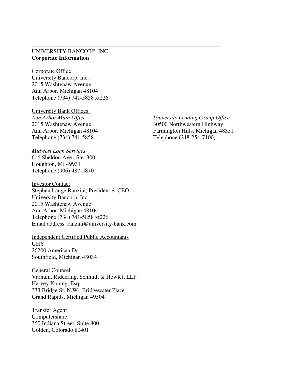# UNIVERSITY BANCORP, INC. **Corporate Information**

\_\_\_\_\_\_\_\_\_\_\_\_\_\_\_\_\_\_\_\_\_\_\_\_\_\_\_\_\_\_\_\_\_\_\_\_\_\_\_\_\_\_\_\_\_\_\_\_\_\_\_\_\_\_\_\_\_\_\_\_\_\_\_\_\_

Corporate Office University Bancorp, Inc. 2015 Washtenaw Avenue Ann Arbor, Michigan 48104 Telephone (734) 741-5858 xt226

University Bank Offices: Telephone (734) 741-5858 Telephone (248-254-7100)

*Midwest Loan Services*  616 Sheldon Ave., Ste. 300 Houghton, MI 49931 Telephone (906) 487-5870

Investor Contact Stephen Lange Ranzini, President & CEO University Bancorp, Inc. 2015 Washtenaw Avenue Ann Arbor, Michigan 48104 Telephone (734) 741-5858 xt226 Email address: ranzini@university-bank.com

Independent Certified Public Accountants UHY 26200 American Dr Southfield, Michigan 48034

General Counsel Varnum, Riddering, Schmidt & Howlett LLP Harvey Koning, Esq. 333 Bridge St. N.W., Bridgewater Place Grand Rapids, Michigan 49504

Transfer Agent Computershare 350 Indiana Street, Suite 800 Golden, Colorado 80401

*Ann Arbor Main Office University Lending Group Office*  2015 Washtenaw Avenue 30500 Northwestern Highway Ann Arbor, Michigan 48104 Farmington Hills, Michigan 48331